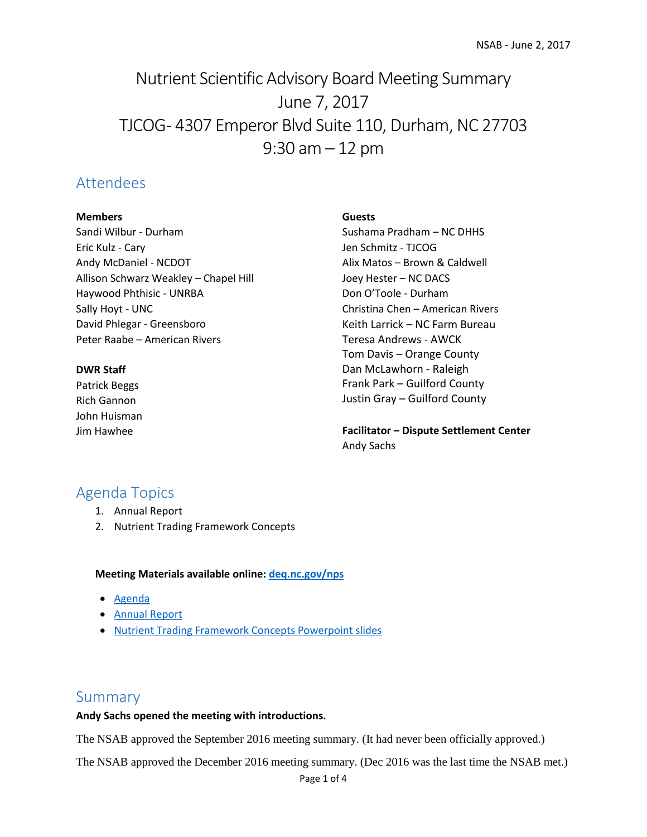# Nutrient Scientific Advisory Board Meeting Summary June 7, 2017 TJCOG - 4307 Emperor Blvd Suite 110, Durham, NC 27703  $9:30$  am  $-12$  pm

## Attendees

#### **Members**

Sandi Wilbur - Durham Eric Kulz - Cary Andy McDaniel - NCDOT Allison Schwarz Weakley – Chapel Hill Haywood Phthisic - UNRBA Sally Hoyt - UNC David Phlegar - Greensboro Peter Raabe – American Rivers

#### **DWR Staff**

Patrick Beggs Rich Gannon John Huisman Jim Hawhee

#### **Guests**

Sushama Pradham – NC DHHS Jen Schmitz - TJCOG Alix Matos – Brown & Caldwell Joey Hester – NC DACS Don O'Toole - Durham Christina Chen – American Rivers Keith Larrick – NC Farm Bureau Teresa Andrews - AWCK Tom Davis – Orange County Dan McLawhorn - Raleigh Frank Park – Guilford County Justin Gray – Guilford County

**Facilitator – Dispute Settlement Center** Andy Sachs

# Agenda Topics

- 1. Annual Report
- 2. Nutrient Trading Framework Concepts

#### **Meeting Materials available online[: deq.nc.gov/nps](file://///wv1dnfp01.eads.ncads.net/wqShared/Planning/Nonpoint%20Source/Falls-Jordan/Existing%20D/NSAB/Meetings/2017.06.02/deq.nc.gov/nps)**

- [Agenda](https://ncdenr.s3.amazonaws.com/s3fs-public/Water%20Quality/Planning/NPU/Nutrient%20Scientific%20Advisory%20Board/2017.06.02%20NSAB%20Agenda.pdf)
- [Annual Report](https://ncdenr.s3.amazonaws.com/s3fs-public/Water%20Quality/Planning/NPU/Nutrient%20Scientific%20Advisory%20Board/2017%20NSAB%20Annual%20Report%20Final.pdf)
- [Nutrient Trading Framework Concepts Powerpoint slides](https://ncdenr.s3.amazonaws.com/s3fs-public/Water%20Quality/Planning/NPU/Nutrient%20Scientific%20Advisory%20Board/2017-06-02%20NSAB%20Trading%20Concepts.pdf)

### Summary

#### **Andy Sachs opened the meeting with introductions.**

The NSAB approved the September 2016 meeting summary. (It had never been officially approved.)

The NSAB approved the December 2016 meeting summary. (Dec 2016 was the last time the NSAB met.)

Page 1 of 4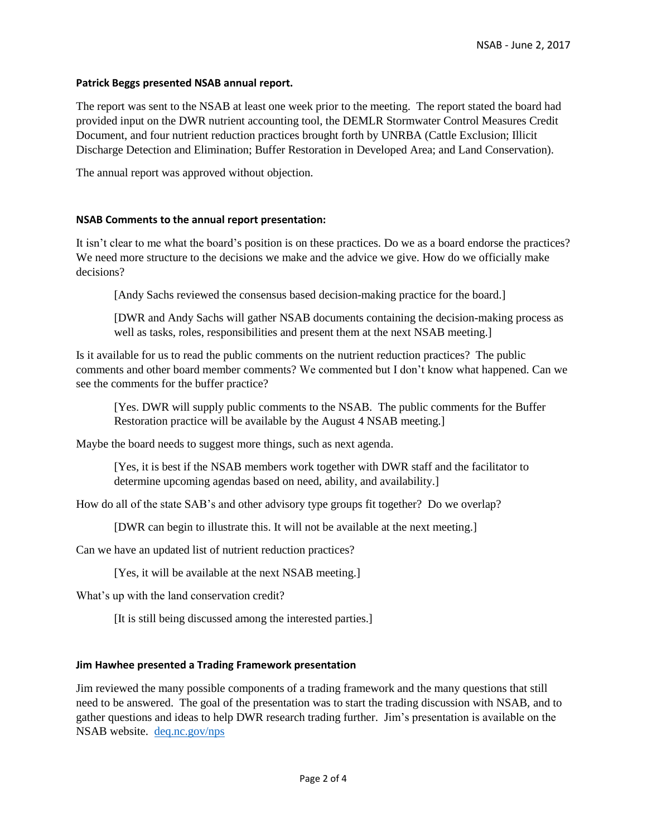#### **Patrick Beggs presented NSAB annual report.**

The report was sent to the NSAB at least one week prior to the meeting. The report stated the board had provided input on the DWR nutrient accounting tool, the DEMLR Stormwater Control Measures Credit Document, and four nutrient reduction practices brought forth by UNRBA (Cattle Exclusion; Illicit Discharge Detection and Elimination; Buffer Restoration in Developed Area; and Land Conservation).

The annual report was approved without objection.

#### **NSAB Comments to the annual report presentation:**

It isn't clear to me what the board's position is on these practices. Do we as a board endorse the practices? We need more structure to the decisions we make and the advice we give. How do we officially make decisions?

[Andy Sachs reviewed the consensus based decision-making practice for the board.]

[DWR and Andy Sachs will gather NSAB documents containing the decision-making process as well as tasks, roles, responsibilities and present them at the next NSAB meeting.

Is it available for us to read the public comments on the nutrient reduction practices? The public comments and other board member comments? We commented but I don't know what happened. Can we see the comments for the buffer practice?

[Yes. DWR will supply public comments to the NSAB. The public comments for the Buffer Restoration practice will be available by the August 4 NSAB meeting.]

Maybe the board needs to suggest more things, such as next agenda.

[Yes, it is best if the NSAB members work together with DWR staff and the facilitator to determine upcoming agendas based on need, ability, and availability.]

How do all of the state SAB's and other advisory type groups fit together? Do we overlap?

[DWR can begin to illustrate this. It will not be available at the next meeting.]

Can we have an updated list of nutrient reduction practices?

[Yes, it will be available at the next NSAB meeting.]

What's up with the land conservation credit?

[It is still being discussed among the interested parties.]

#### **Jim Hawhee presented a Trading Framework presentation**

Jim reviewed the many possible components of a trading framework and the many questions that still need to be answered. The goal of the presentation was to start the trading discussion with NSAB, and to gather questions and ideas to help DWR research trading further. Jim's presentation is available on the NSAB website. [deq.nc.gov/nps](file://///wv1dnfp01.eads.ncads.net/wqShared/Planning/Nonpoint%20Source/Falls-Jordan/Existing%20D/NSAB/Meetings/2017.06.02/deq.nc.gov/nps)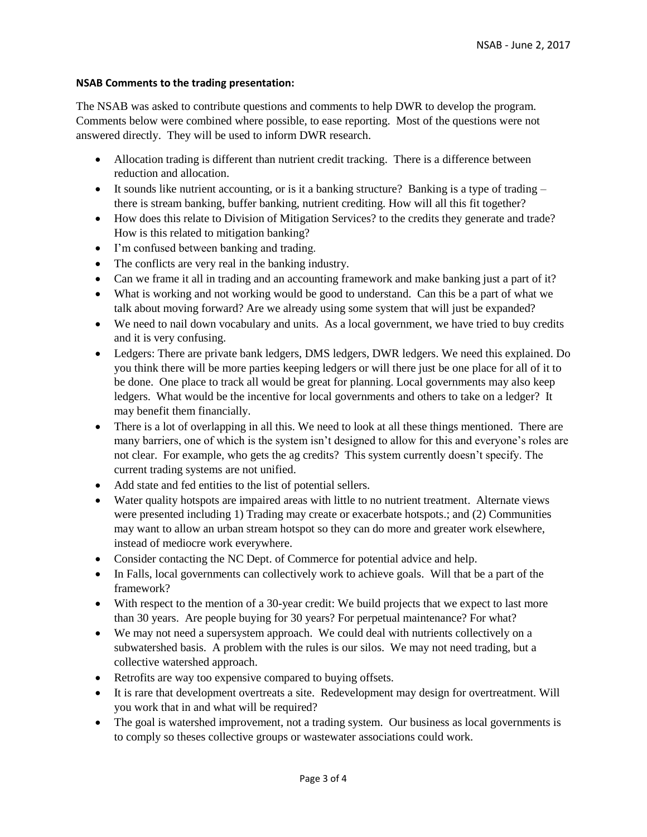#### **NSAB Comments to the trading presentation:**

The NSAB was asked to contribute questions and comments to help DWR to develop the program. Comments below were combined where possible, to ease reporting. Most of the questions were not answered directly. They will be used to inform DWR research.

- Allocation trading is different than nutrient credit tracking. There is a difference between reduction and allocation.
- It sounds like nutrient accounting, or is it a banking structure? Banking is a type of trading  $$ there is stream banking, buffer banking, nutrient crediting. How will all this fit together?
- How does this relate to Division of Mitigation Services? to the credits they generate and trade? How is this related to mitigation banking?
- I'm confused between banking and trading.
- The conflicts are very real in the banking industry.
- Can we frame it all in trading and an accounting framework and make banking just a part of it?
- What is working and not working would be good to understand. Can this be a part of what we talk about moving forward? Are we already using some system that will just be expanded?
- We need to nail down vocabulary and units. As a local government, we have tried to buy credits and it is very confusing.
- Ledgers: There are private bank ledgers, DMS ledgers, DWR ledgers. We need this explained. Do you think there will be more parties keeping ledgers or will there just be one place for all of it to be done. One place to track all would be great for planning. Local governments may also keep ledgers. What would be the incentive for local governments and others to take on a ledger? It may benefit them financially.
- There is a lot of overlapping in all this. We need to look at all these things mentioned. There are many barriers, one of which is the system isn't designed to allow for this and everyone's roles are not clear. For example, who gets the ag credits? This system currently doesn't specify. The current trading systems are not unified.
- Add state and fed entities to the list of potential sellers.
- Water quality hotspots are impaired areas with little to no nutrient treatment. Alternate views were presented including 1) Trading may create or exacerbate hotspots.; and (2) Communities may want to allow an urban stream hotspot so they can do more and greater work elsewhere, instead of mediocre work everywhere.
- Consider contacting the NC Dept. of Commerce for potential advice and help.
- In Falls, local governments can collectively work to achieve goals. Will that be a part of the framework?
- With respect to the mention of a 30-year credit: We build projects that we expect to last more than 30 years. Are people buying for 30 years? For perpetual maintenance? For what?
- We may not need a supersystem approach. We could deal with nutrients collectively on a subwatershed basis. A problem with the rules is our silos. We may not need trading, but a collective watershed approach.
- Retrofits are way too expensive compared to buying offsets.
- It is rare that development overtreats a site. Redevelopment may design for overtreatment. Will you work that in and what will be required?
- The goal is watershed improvement, not a trading system. Our business as local governments is to comply so theses collective groups or wastewater associations could work.